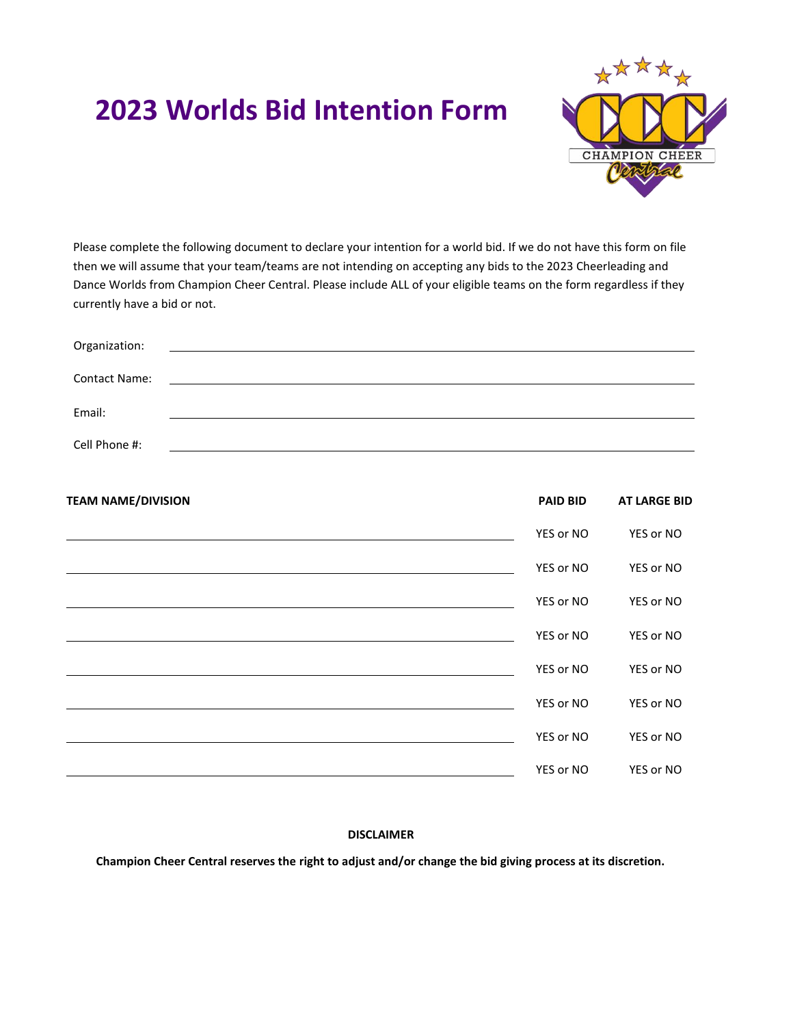# **2023 Worlds Bid Intention Form**



Please complete the following document to declare your intention for a world bid. If we do not have this form on file then we will assume that your team/teams are not intending on accepting any bids to the 2023 Cheerleading and Dance Worlds from Champion Cheer Central. Please include ALL of your eligible teams on the form regardless if they currently have a bid or not.

| <b>PAID BID</b>                                                          | <b>AT LARGE BID</b> |
|--------------------------------------------------------------------------|---------------------|
| YES or NO                                                                | YES or NO           |
| YES or NO                                                                | YES or NO           |
| YES or NO                                                                | YES or NO           |
| YES or NO                                                                | YES or NO           |
| YES or NO                                                                | YES or NO           |
| YES or NO<br><u> 1980 - Johann Stoff, amerikansk politiker (d. 1980)</u> | YES or NO           |
| YES or NO                                                                | YES or NO           |
| YES or NO                                                                | YES or NO           |
|                                                                          |                     |

# **DISCLAIMER**

**Champion Cheer Central reserves the right to adjust and/or change the bid giving process at its discretion.**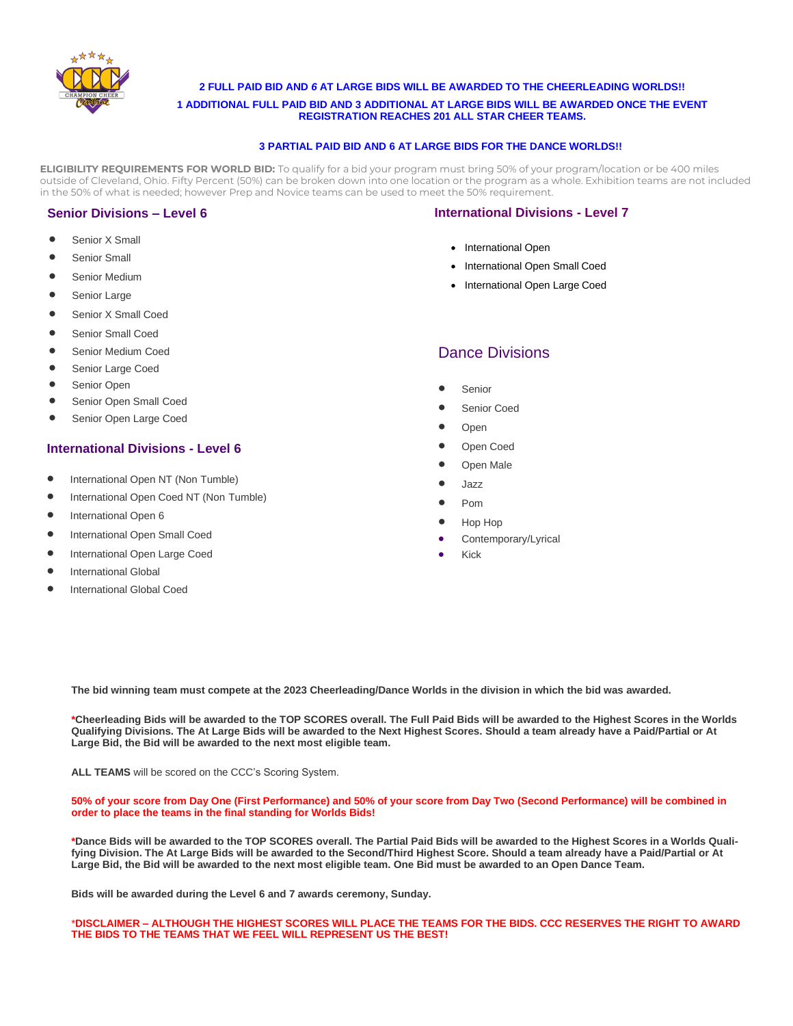

**2 FULL PAID BID AND** *6* **AT LARGE BIDS WILL BE AWARDED TO THE CHEERLEADING WORLDS!!**

**1 ADDITIONAL FULL PAID BID AND 3 ADDITIONAL AT LARGE BIDS WILL BE AWARDED ONCE THE EVENT REGISTRATION REACHES 201 ALL STAR CHEER TEAMS.**

#### **3 PARTIAL PAID BID AND 6 AT LARGE BIDS FOR THE DANCE WORLDS!!**

**ELIGIBILITY REQUIREMENTS FOR WORLD BID:** To qualify for a bid your program must bring 50% of your program/location or be 400 miles outside of Cleveland, Ohio. Fifty Percent (50%) can be broken down into one location or the program as a whole. Exhibition teams are not included in the 50% of what is needed; however Prep and Novice teams can be used to meet the 50% requirement.

## **Senior Divisions – Level 6**

- Senior X Small
- Senior Small
- Senior Medium
- Senior Large
- Senior X Small Coed
- Senior Small Coed
- Senior Medium Coed
- Senior Large Coed
- Senior Open
- Senior Open Small Coed
- Senior Open Large Coed

## **International Divisions - Level 6**

- International Open NT (Non Tumble)
- International Open Coed NT (Non Tumble)
- International Open <sup>6</sup>
- International Open Small Coed
- International Open Large Coed
- International Global
- International Global Coed

#### **International Divisions - Level 7**

- International Open
- International Open Small Coed
- International Open Large Coed

# Dance Divisions

- Senior
- Senior Coed
- Open
- Open Coed
- Open Male
- Jazz
- Pom
- Hop Hop
- Contemporary/Lyrical
- Kick

**The bid winning team must compete at the 2023 Cheerleading/Dance Worlds in the division in which the bid was awarded.**

**\*Cheerleading Bids will be awarded to the TOP SCORES overall. The Full Paid Bids will be awarded to the Highest Scores in the Worlds Qualifying Divisions. The At Large Bids will be awarded to the Next Highest Scores. Should a team already have a Paid/Partial or At Large Bid, the Bid will be awarded to the next most eligible team.** 

**ALL TEAMS** will be scored on the CCC's Scoring System.

**50% of your score from Day One (First Performance) and 50% of your score from Day Two (Second Performance) will be combined in order to place the teams in the final standing for Worlds Bids!**

**\*Dance Bids will be awarded to the TOP SCORES overall. The Partial Paid Bids will be awarded to the Highest Scores in a Worlds Qualifying Division. The At Large Bids will be awarded to the Second/Third Highest Score. Should a team already have a Paid/Partial or At Large Bid, the Bid will be awarded to the next most eligible team. One Bid must be awarded to an Open Dance Team.** 

**Bids will be awarded during the Level 6 and 7 awards ceremony, Sunday.**

\***DISCLAIMER – ALTHOUGH THE HIGHEST SCORES WILL PLACE THE TEAMS FOR THE BIDS. CCC RESERVES THE RIGHT TO AWARD THE BIDS TO THE TEAMS THAT WE FEEL WILL REPRESENT US THE BEST!**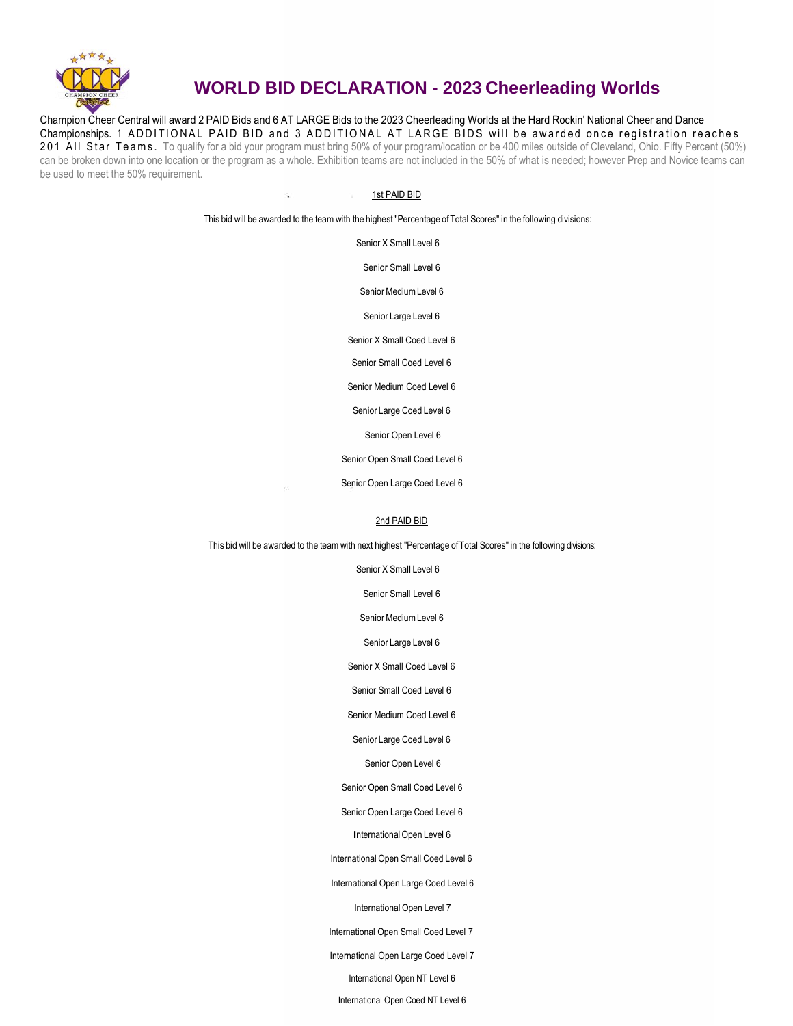

# **WORLD BID DECLARATION - 2023 Cheerleading Worlds**

Champion Cheer Central will award 2 PAID Bids and 6 AT LARGE Bids to the 2023 Cheerleading Worlds at the Hard Rockin' National Cheer and Dance Championships. 1 ADDITIONAL PAID BID and 3 ADDITIONAL AT LARGE BIDS will be awarded once registration reaches 201 AII Star Teams. To qualify for a bid your program must bring 50% of your program/location or be 400 miles outside of Cleveland, Ohio. Fifty Percent (50%) can be broken down into one location or the program as a whole. Exhibition teams are not included in the 50% of what is needed; however Prep and Novice teams can be used to meet the 50% requirement.

#### 1st PAID BID

This bid will be awarded to the team with the highest "Percentage ofTotal Scores" in the following divisions:

Senior X Small Level 6

Senior Small Level 6

Senior Medium Level 6

Senior Large Level 6

Senior X Small Coed Level 6

Senior Small Coed Level 6

Senior Medium Coed Level 6

Senior Large Coed Level 6

Senior Open Level 6

Senior Open Small Coed Level 6

Senior Open Large Coed Level 6

#### 2nd PAID BID

This bid will be awarded to the team with next highest "Percentage ofTotal Scores" in the following divisions:

Senior X Small Level 6

Senior Small Level 6

Senior Medium Level 6

Senior Large Level 6

Senior X Small Coed Level 6

Senior Small Coed Level 6

Senior Medium Coed Level 6

Senior Large Coed Level 6

Senior Open Level 6

Senior Open Small Coed Level 6

Senior Open Large Coed Level 6

**International Open Level 6** 

International Open Small Coed Level 6

International Open Large Coed Level 6

International Open Level 7

International Open Small Coed Level 7

International Open Large Coed Level 7

International Open NT Level 6

International Open Coed NT Level 6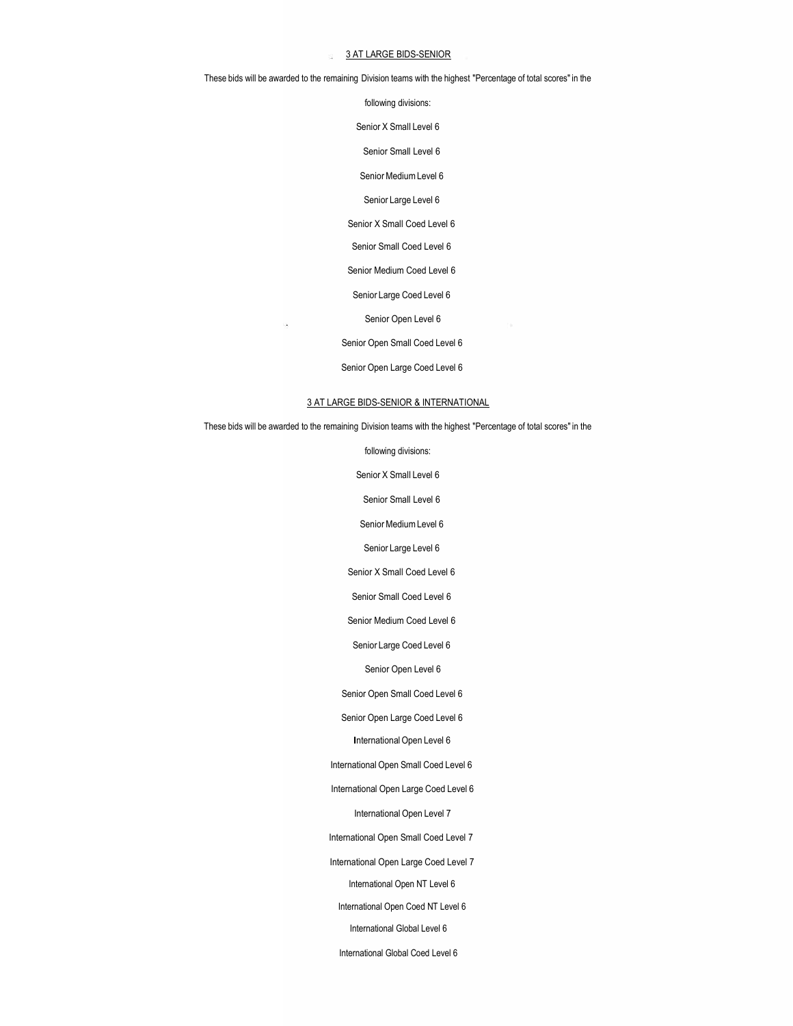#### 3 AT LARGE BIDS-SENIOR

These bids will be awarded to the remaining Division teams with the highest "Percentage of total scores" in the

following divisions:

Senior X Small Level 6

Senior Small Level 6

Senior Medium Level 6

Senior Large Level 6

Senior X Small Coed Level 6

Senior Small Coed Level 6

Senior Medium Coed Level 6

Senior Large Coed Level 6

Senior Open Level 6

Senior Open Small Coed Level 6

Senior Open Large Coed Level 6

#### 3 AT LARGE BIDS-SENIOR & INTERNATIONAL

These bids will be awarded to the remaining Division teams with the highest "Percentage of total scores" in the

following divisions:

Senior X Small Level 6

Senior Small Level 6

Senior Medium Level 6

Senior Large Level 6

Senior X Small Coed Level 6

Senior Small Coed Level 6

Senior Medium Coed Level 6

Senior Large Coed Level 6

Senior Open Level 6

Senior Open Small Coed Level 6

Senior Open Large Coed Level 6

**International Open Level 6** 

International Open Small Coed Level 6

International Open Large Coed Level 6

International Open Level 7

International Open Small Coed Level 7

International Open Large Coed Level 7

International Open NT Level 6

International Open Coed NT Level 6

International Global Level 6

International Global Coed Level 6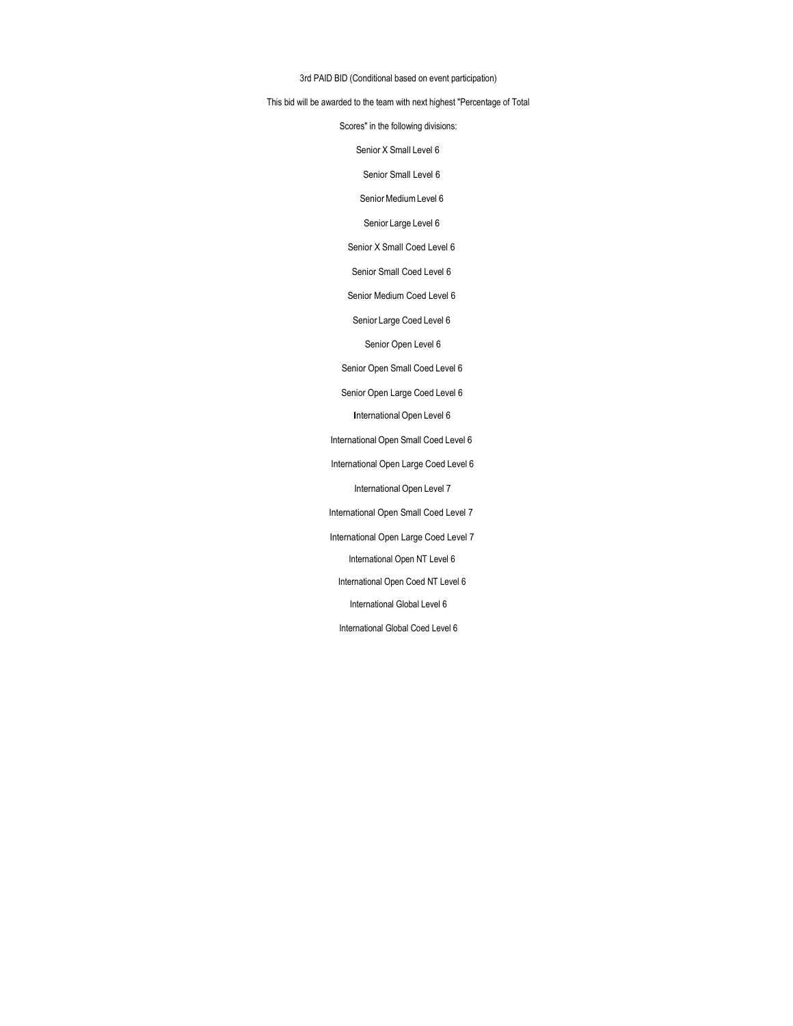#### 3rd PAID BID (Conditional based on event participation)

#### This bid will be awarded to the team with next highest "Percentage of Total

Scores" in the following divisions:

Senior X Small Level 6

Senior Small Level 6

Senior Medium Level 6

Senior Large Level 6

Senior X Small Coed Level 6

Senior Small Coed Level 6

Senior Medium Coed Level 6

Senior Large Coed Level 6

Senior Open Level 6

Senior Open Small Coed Level 6

Senior Open Large Coed Level 6

**International Open Level 6** 

International Open Small Coed Level 6

International Open Large Coed Level 6

International Open Level 7

International Open Small Coed Level 7

International Open Large Coed Level 7

International Open NT Level 6

International Open Coed NT Level 6

International Global Level 6

International Global Coed Level 6